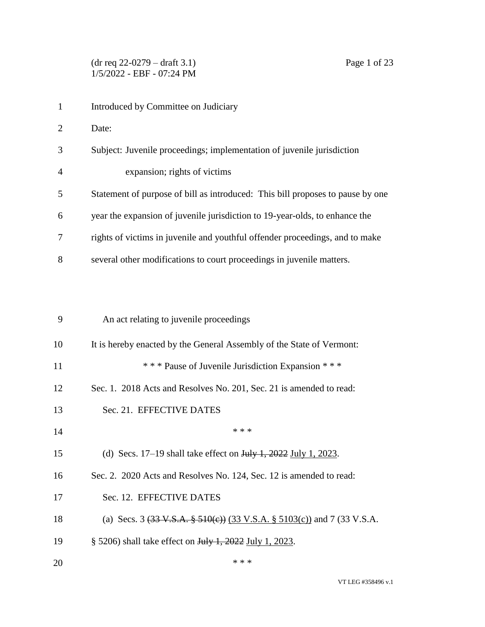1 Introduced by Committee on Judiciary Date: Subject: Juvenile proceedings; implementation of juvenile jurisdiction expansion; rights of victims Statement of purpose of bill as introduced: This bill proposes to pause by one year the expansion of juvenile jurisdiction to 19-year-olds, to enhance the rights of victims in juvenile and youthful offender proceedings, and to make several other modifications to court proceedings in juvenile matters.

| 9  | An act relating to juvenile proceedings                                                            |
|----|----------------------------------------------------------------------------------------------------|
| 10 | It is hereby enacted by the General Assembly of the State of Vermont:                              |
| 11 | *** Pause of Juvenile Jurisdiction Expansion ***                                                   |
| 12 | Sec. 1. 2018 Acts and Resolves No. 201, Sec. 21 is amended to read:                                |
| 13 | Sec. 21. EFFECTIVE DATES                                                                           |
| 14 | * * *                                                                                              |
| 15 | (d) Secs. 17–19 shall take effect on $\frac{\text{H}_y}{\text{H}_y}$ + 2022 July 1, 2023.          |
| 16 | Sec. 2. 2020 Acts and Resolves No. 124, Sec. 12 is amended to read:                                |
| 17 | Sec. 12. EFFECTIVE DATES                                                                           |
| 18 | (a) Secs. 3 $(33 \text{ V.S.A.} \frac{2}{9} \frac{510}{e})$ (33 V.S.A. § 5103(c)) and 7 (33 V.S.A. |
| 19 | § 5206) shall take effect on <del>July 1, 2022</del> July 1, 2023.                                 |
| 20 | * * *                                                                                              |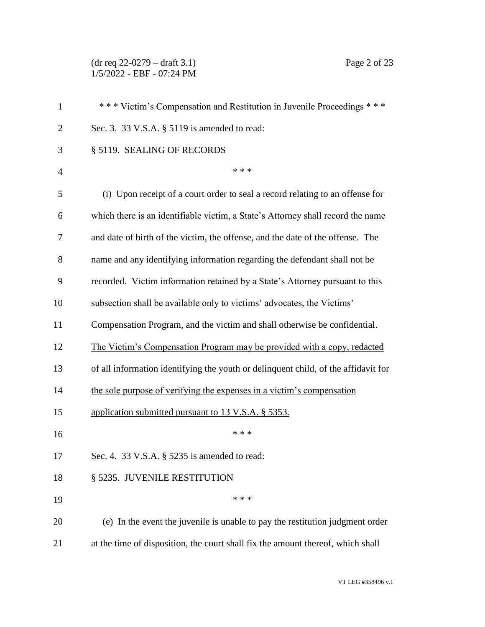(dr req 22-0279 – draft 3.1) Page 2 of 23 1/5/2022 - EBF - 07:24 PM

| $\mathbf{1}$   | *** Victim's Compensation and Restitution in Juvenile Proceedings ***              |
|----------------|------------------------------------------------------------------------------------|
| $\overline{2}$ | Sec. 3. 33 V.S.A. § 5119 is amended to read:                                       |
| 3              | § 5119. SEALING OF RECORDS                                                         |
| $\overline{4}$ | * * *                                                                              |
| 5              | (i) Upon receipt of a court order to seal a record relating to an offense for      |
| 6              | which there is an identifiable victim, a State's Attorney shall record the name    |
| 7              | and date of birth of the victim, the offense, and the date of the offense. The     |
| 8              | name and any identifying information regarding the defendant shall not be          |
| 9              | recorded. Victim information retained by a State's Attorney pursuant to this       |
| 10             | subsection shall be available only to victims' advocates, the Victims'             |
| 11             | Compensation Program, and the victim and shall otherwise be confidential.          |
| 12             | The Victim's Compensation Program may be provided with a copy, redacted            |
| 13             | of all information identifying the youth or delinquent child, of the affidavit for |
| 14             | the sole purpose of verifying the expenses in a victim's compensation              |
| 15             | application submitted pursuant to 13 V.S.A. § 5353.                                |
| 16             | * * *                                                                              |
| 17             | Sec. 4. 33 V.S.A. § 5235 is amended to read:                                       |
| 18             | § 5235. JUVENILE RESTITUTION                                                       |
| 19             | * * *                                                                              |
| 20             | (e) In the event the juvenile is unable to pay the restitution judgment order      |
| 21             | at the time of disposition, the court shall fix the amount thereof, which shall    |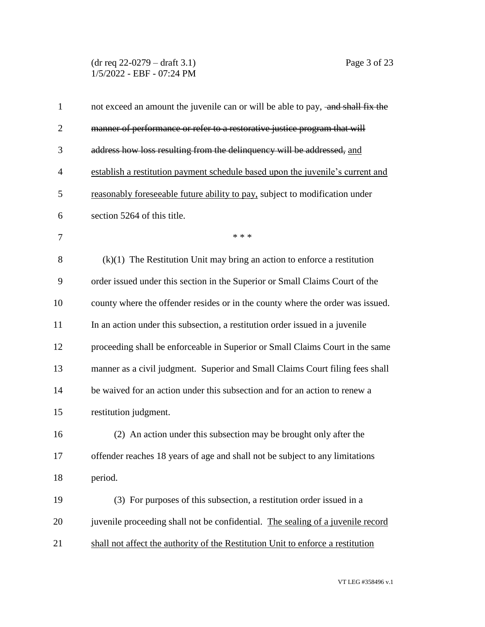(dr req 22-0279 – draft 3.1) Page 3 of 23 1/5/2022 - EBF - 07:24 PM

| $\mathbf{1}$   | not exceed an amount the juvenile can or will be able to pay, and shall fix the |
|----------------|---------------------------------------------------------------------------------|
| $\overline{2}$ | manner of performance or refer to a restorative justice program that will       |
| 3              | address how loss resulting from the delinquency will be addressed, and          |
| $\overline{4}$ | establish a restitution payment schedule based upon the juvenile's current and  |
| 5              | reasonably foreseeable future ability to pay, subject to modification under     |
| 6              | section 5264 of this title.                                                     |
| 7              | * * *                                                                           |
| 8              | $(k)(1)$ The Restitution Unit may bring an action to enforce a restitution      |
| 9              | order issued under this section in the Superior or Small Claims Court of the    |
| 10             | county where the offender resides or in the county where the order was issued.  |
| 11             | In an action under this subsection, a restitution order issued in a juvenile    |
| 12             | proceeding shall be enforceable in Superior or Small Claims Court in the same   |
| 13             | manner as a civil judgment. Superior and Small Claims Court filing fees shall   |
| 14             | be waived for an action under this subsection and for an action to renew a      |
| 15             | restitution judgment.                                                           |
| 16             | (2) An action under this subsection may be brought only after the               |
| 17             | offender reaches 18 years of age and shall not be subject to any limitations    |
| 18             | period.                                                                         |
| 19             | (3) For purposes of this subsection, a restitution order issued in a            |
| 20             | juvenile proceeding shall not be confidential. The sealing of a juvenile record |
| 21             | shall not affect the authority of the Restitution Unit to enforce a restitution |
|                |                                                                                 |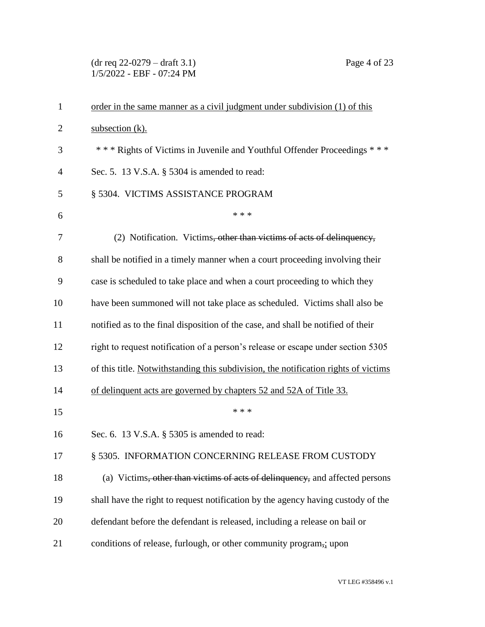(dr req 22-0279 – draft 3.1) Page 4 of 23 1/5/2022 - EBF - 07:24 PM

| 1              | order in the same manner as a civil judgment under subdivision (1) of this          |
|----------------|-------------------------------------------------------------------------------------|
| $\overline{2}$ | subsection $(k)$ .                                                                  |
| 3              | *** Rights of Victims in Juvenile and Youthful Offender Proceedings ***             |
| 4              | Sec. 5. 13 V.S.A. § 5304 is amended to read:                                        |
| 5              | § 5304. VICTIMS ASSISTANCE PROGRAM                                                  |
| 6              | * * *                                                                               |
| 7              | (2) Notification. Victims, other than victims of acts of delinquency,               |
| 8              | shall be notified in a timely manner when a court proceeding involving their        |
| 9              | case is scheduled to take place and when a court proceeding to which they           |
| 10             | have been summoned will not take place as scheduled. Victims shall also be          |
| 11             | notified as to the final disposition of the case, and shall be notified of their    |
| 12             | right to request notification of a person's release or escape under section 5305    |
| 13             | of this title. Notwithstanding this subdivision, the notification rights of victims |
| 14             | of delinquent acts are governed by chapters 52 and 52A of Title 33.                 |
| 15             | * * *                                                                               |
| 16             | Sec. 6. 13 V.S.A. § 5305 is amended to read:                                        |
| 17             | § 5305. INFORMATION CONCERNING RELEASE FROM CUSTODY                                 |
| 18             | (a) Victims, other than victims of acts of delinquency, and affected persons        |
| 19             | shall have the right to request notification by the agency having custody of the    |
| 20             | defendant before the defendant is released, including a release on bail or          |
| 21             | conditions of release, furlough, or other community program,; upon                  |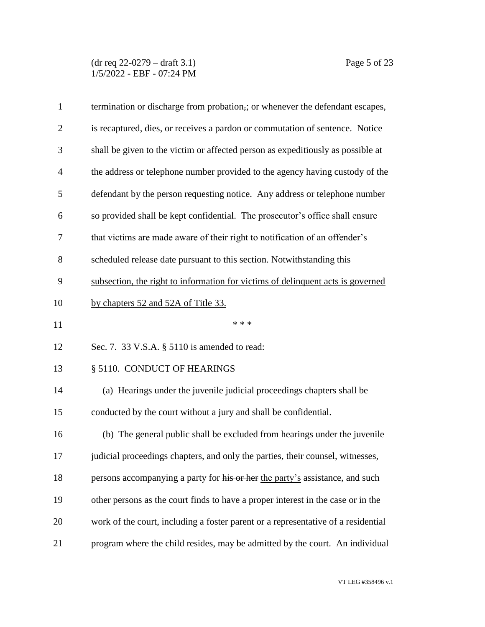(dr req 22-0279 – draft 3.1) Page 5 of 23 1/5/2022 - EBF - 07:24 PM

| $\mathbf{1}$   | termination or discharge from probation,; or whenever the defendant escapes,      |
|----------------|-----------------------------------------------------------------------------------|
| $\overline{2}$ | is recaptured, dies, or receives a pardon or commutation of sentence. Notice      |
| 3              | shall be given to the victim or affected person as expeditiously as possible at   |
| $\overline{4}$ | the address or telephone number provided to the agency having custody of the      |
| 5              | defendant by the person requesting notice. Any address or telephone number        |
| 6              | so provided shall be kept confidential. The prosecutor's office shall ensure      |
| 7              | that victims are made aware of their right to notification of an offender's       |
| 8              | scheduled release date pursuant to this section. Notwithstanding this             |
| 9              | subsection, the right to information for victims of delinquent acts is governed   |
| 10             | by chapters 52 and 52A of Title 33.                                               |
| 11             | * * *                                                                             |
| 12             | Sec. 7. 33 V.S.A. § 5110 is amended to read:                                      |
| 13             | § 5110. CONDUCT OF HEARINGS                                                       |
| 14             | (a) Hearings under the juvenile judicial proceedings chapters shall be            |
| 15             | conducted by the court without a jury and shall be confidential.                  |
| 16             | (b) The general public shall be excluded from hearings under the juvenile         |
| 17             | judicial proceedings chapters, and only the parties, their counsel, witnesses     |
| 18             | persons accompanying a party for his or her the party's assistance, and such      |
| 19             | other persons as the court finds to have a proper interest in the case or in the  |
| 20             | work of the court, including a foster parent or a representative of a residential |
| 21             | program where the child resides, may be admitted by the court. An individual      |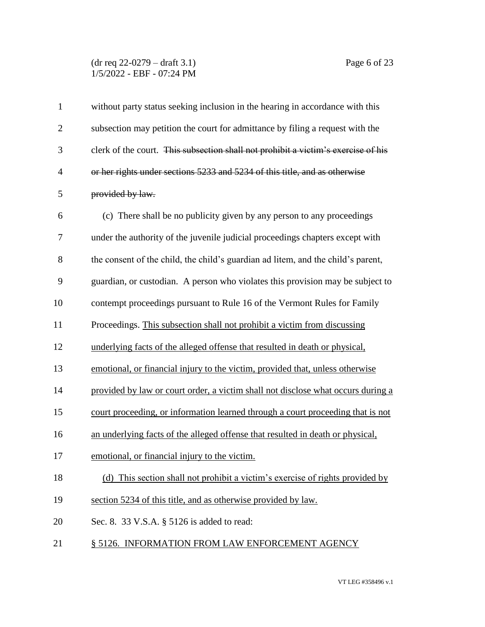### (dr req 22-0279 – draft 3.1) Page 6 of 23 1/5/2022 - EBF - 07:24 PM

| $\mathbf{1}$   | without party status seeking inclusion in the hearing in accordance with this     |
|----------------|-----------------------------------------------------------------------------------|
| $\overline{2}$ | subsection may petition the court for admittance by filing a request with the     |
| 3              | clerk of the court. This subsection shall not prohibit a victim's exercise of his |
| $\overline{4}$ | or her rights under sections 5233 and 5234 of this title, and as otherwise        |
| 5              | provided by law.                                                                  |
| 6              | (c) There shall be no publicity given by any person to any proceedings            |
| 7              | under the authority of the juvenile judicial proceedings chapters except with     |
| 8              | the consent of the child, the child's guardian ad litem, and the child's parent,  |
| 9              | guardian, or custodian. A person who violates this provision may be subject to    |
| 10             | contempt proceedings pursuant to Rule 16 of the Vermont Rules for Family          |
| 11             | Proceedings. This subsection shall not prohibit a victim from discussing          |
| 12             | underlying facts of the alleged offense that resulted in death or physical,       |
| 13             | emotional, or financial injury to the victim, provided that, unless otherwise     |
| 14             | provided by law or court order, a victim shall not disclose what occurs during a  |
| 15             | court proceeding, or information learned through a court proceeding that is not   |
| 16             | an underlying facts of the alleged offense that resulted in death or physical,    |
| 17             | emotional, or financial injury to the victim.                                     |
| 18             | (d) This section shall not prohibit a victim's exercise of rights provided by     |
| 19             | section 5234 of this title, and as otherwise provided by law.                     |
| 20             | Sec. 8. 33 V.S.A. § 5126 is added to read:                                        |
| 21             | § 5126. INFORMATION FROM LAW ENFORCEMENT AGENCY                                   |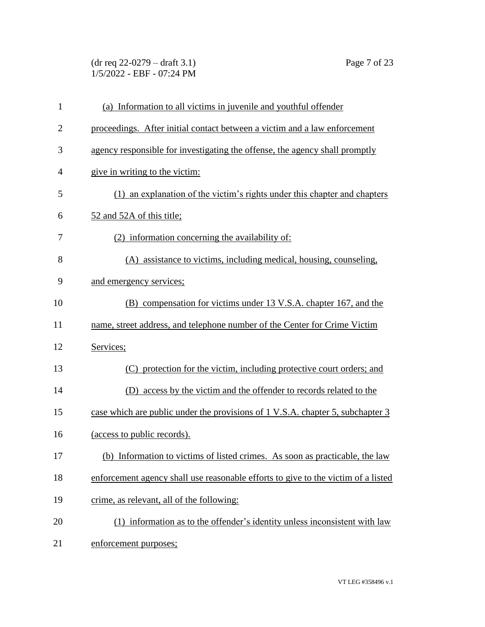# (dr req 22-0279 – draft 3.1) Page 7 of 23 1/5/2022 - EBF - 07:24 PM

| $\mathbf{1}$   | (a) Information to all victims in juvenile and youthful offender                  |
|----------------|-----------------------------------------------------------------------------------|
| $\overline{2}$ | proceedings. After initial contact between a victim and a law enforcement         |
| 3              | agency responsible for investigating the offense, the agency shall promptly       |
| $\overline{4}$ | give in writing to the victim:                                                    |
| 5              | (1) an explanation of the victim's rights under this chapter and chapters         |
| 6              | 52 and 52A of this title;                                                         |
| 7              | (2) information concerning the availability of:                                   |
| 8              | (A) assistance to victims, including medical, housing, counseling,                |
| 9              | and emergency services;                                                           |
| 10             | (B) compensation for victims under 13 V.S.A. chapter 167, and the                 |
| 11             | name, street address, and telephone number of the Center for Crime Victim         |
| 12             | Services;                                                                         |
| 13             | protection for the victim, including protective court orders; and<br>(C)          |
| 14             | (D) access by the victim and the offender to records related to the               |
| 15             | case which are public under the provisions of 1 V.S.A. chapter 5, subchapter 3    |
| 16             | (access to public records).                                                       |
| 17             | (b) Information to victims of listed crimes. As soon as practicable, the law      |
| 18             | enforcement agency shall use reasonable efforts to give to the victim of a listed |
| 19             | crime, as relevant, all of the following:                                         |
| 20             | (1) information as to the offender's identity unless inconsistent with law        |
| 21             | enforcement purposes;                                                             |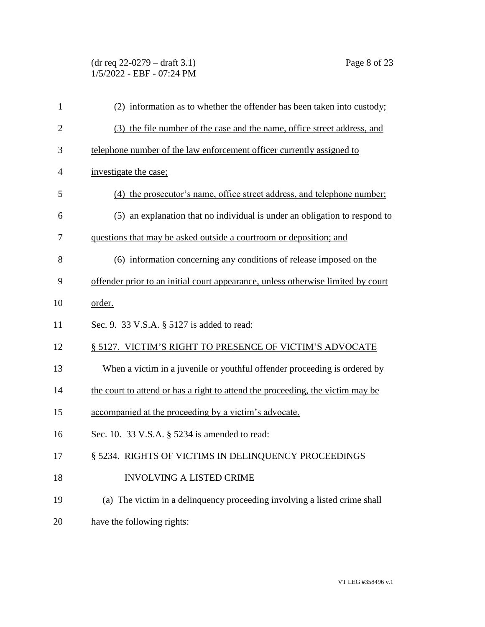(dr req 22-0279 – draft 3.1) Page 8 of 23 1/5/2022 - EBF - 07:24 PM

| $\mathbf{1}$   | information as to whether the offender has been taken into custody;              |
|----------------|----------------------------------------------------------------------------------|
| $\overline{2}$ | (3) the file number of the case and the name, office street address, and         |
| 3              | telephone number of the law enforcement officer currently assigned to            |
| $\overline{4}$ | investigate the case;                                                            |
| 5              | (4) the prosecutor's name, office street address, and telephone number;          |
| 6              | an explanation that no individual is under an obligation to respond to<br>(5)    |
| 7              | questions that may be asked outside a courtroom or deposition; and               |
| 8              | (6) information concerning any conditions of release imposed on the              |
| 9              | offender prior to an initial court appearance, unless otherwise limited by court |
| 10             | order.                                                                           |
| 11             | Sec. 9. 33 V.S.A. § 5127 is added to read:                                       |
| 12             | § 5127. VICTIM'S RIGHT TO PRESENCE OF VICTIM'S ADVOCATE                          |
| 13             | When a victim in a juvenile or youthful offender proceeding is ordered by        |
| 14             | the court to attend or has a right to attend the proceeding, the victim may be   |
| 15             | accompanied at the proceeding by a victim's advocate.                            |
| 16             | Sec. 10. 33 V.S.A. § 5234 is amended to read:                                    |
| 17             | § 5234. RIGHTS OF VICTIMS IN DELINQUENCY PROCEEDINGS                             |
| 18             | <b>INVOLVING A LISTED CRIME</b>                                                  |
| 19             | (a) The victim in a delinquency proceeding involving a listed crime shall        |
| 20             | have the following rights:                                                       |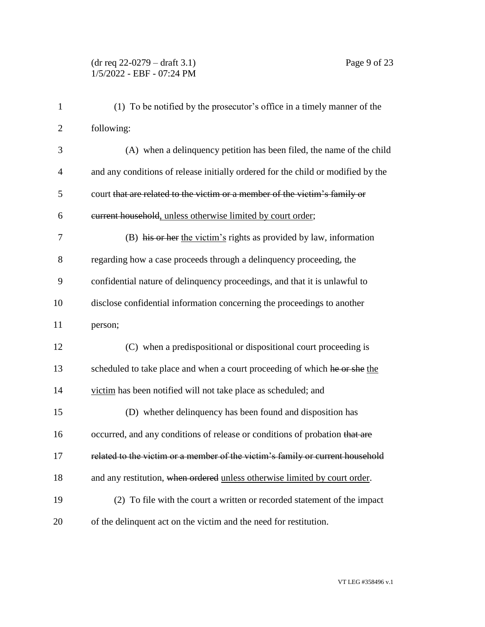| $\mathbf{1}$   | (1) To be notified by the prosecutor's office in a timely manner of the          |
|----------------|----------------------------------------------------------------------------------|
| $\overline{2}$ | following:                                                                       |
| 3              | (A) when a delinquency petition has been filed, the name of the child            |
| 4              | and any conditions of release initially ordered for the child or modified by the |
| 5              | court that are related to the victim or a member of the victim's family or       |
| 6              | eurrent household, unless otherwise limited by court order;                      |
| 7              | (B) his or her the victim's rights as provided by law, information               |
| 8              | regarding how a case proceeds through a delinquency proceeding, the              |
| 9              | confidential nature of delinquency proceedings, and that it is unlawful to       |
| 10             | disclose confidential information concerning the proceedings to another          |
| 11             | person;                                                                          |
| 12             | (C) when a predispositional or dispositional court proceeding is                 |
| 13             | scheduled to take place and when a court proceeding of which he or she the       |
| 14             | victim has been notified will not take place as scheduled; and                   |
| 15             | (D) whether delinquency has been found and disposition has                       |
| 16             | occurred, and any conditions of release or conditions of probation that are      |
| 17             | related to the victim or a member of the victim's family or current household    |
| 18             | and any restitution, when ordered unless otherwise limited by court order.       |
| 19             | (2) To file with the court a written or recorded statement of the impact         |
| 20             | of the delinquent act on the victim and the need for restitution.                |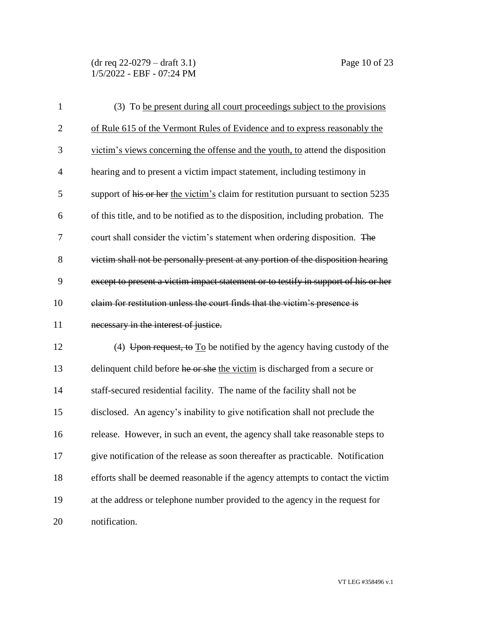(dr req 22-0279 – draft 3.1) Page 10 of 23 1/5/2022 - EBF - 07:24 PM

| $\mathbf{1}$   | (3) To be present during all court proceedings subject to the provisions              |
|----------------|---------------------------------------------------------------------------------------|
| $\overline{2}$ | of Rule 615 of the Vermont Rules of Evidence and to express reasonably the            |
| 3              | victim's views concerning the offense and the youth, to attend the disposition        |
| $\overline{4}$ | hearing and to present a victim impact statement, including testimony in              |
| 5              | support of his or her the victim's claim for restitution pursuant to section 5235     |
| 6              | of this title, and to be notified as to the disposition, including probation. The     |
| 7              | court shall consider the victim's statement when ordering disposition. The            |
| 8              | victim shall not be personally present at any portion of the disposition hearing      |
| 9              | except to present a victim impact statement or to testify in support of his or her    |
| 10             | claim for restitution unless the court finds that the victim's presence is            |
| 11             | necessary in the interest of justice.                                                 |
| 12             | (4) Upon request, to $\overline{I_0}$ be notified by the agency having custody of the |
| 13             | delinquent child before he or she the victim is discharged from a secure or           |
| 14             | staff-secured residential facility. The name of the facility shall not be             |
| 15             | disclosed. An agency's inability to give notification shall not preclude the          |
| 16             | release. However, in such an event, the agency shall take reasonable steps to         |
| 17             | give notification of the release as soon thereafter as practicable. Notification      |
| 18             | efforts shall be deemed reasonable if the agency attempts to contact the victim       |
| 19             | at the address or telephone number provided to the agency in the request for          |
| 20             | notification.                                                                         |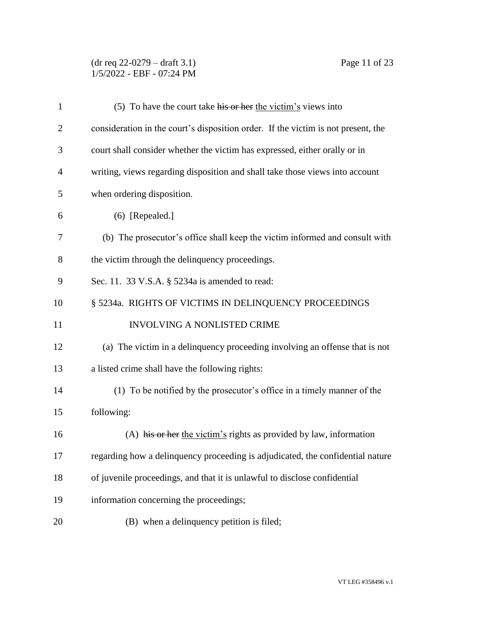### (dr req 22-0279 – draft 3.1) Page 11 of 23 1/5/2022 - EBF - 07:24 PM

| $\mathbf{1}$   | (5) To have the court take his or her the victim's views into                     |
|----------------|-----------------------------------------------------------------------------------|
| $\overline{2}$ | consideration in the court's disposition order. If the victim is not present, the |
| 3              | court shall consider whether the victim has expressed, either orally or in        |
| 4              | writing, views regarding disposition and shall take those views into account      |
| 5              | when ordering disposition.                                                        |
| 6              | $(6)$ [Repealed.]                                                                 |
| 7              | (b) The prosecutor's office shall keep the victim informed and consult with       |
| 8              | the victim through the delinquency proceedings.                                   |
| 9              | Sec. 11. 33 V.S.A. § 5234a is amended to read:                                    |
| 10             | § 5234a. RIGHTS OF VICTIMS IN DELINQUENCY PROCEEDINGS                             |
| 11             | INVOLVING A NONLISTED CRIME                                                       |
| 12             | (a) The victim in a delinquency proceeding involving an offense that is not       |
| 13             | a listed crime shall have the following rights:                                   |
| 14             | (1) To be notified by the prosecutor's office in a timely manner of the           |
| 15             | following:                                                                        |
| 16             | (A) his or her the victim's rights as provided by law, information                |
| 17             | regarding how a delinquency proceeding is adjudicated, the confidential nature    |
| 18             | of juvenile proceedings, and that it is unlawful to disclose confidential         |
| 19             | information concerning the proceedings;                                           |
| 20             | (B) when a delinquency petition is filed;                                         |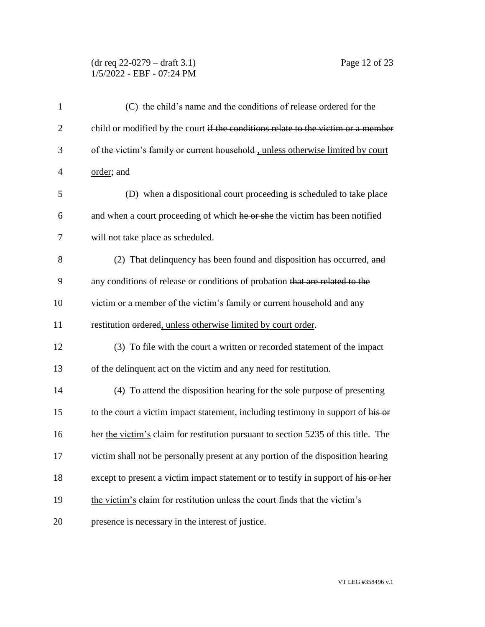# (dr req 22-0279 – draft 3.1) Page 12 of 23 1/5/2022 - EBF - 07:24 PM

| $\mathbf{1}$   | (C) the child's name and the conditions of release ordered for the                 |
|----------------|------------------------------------------------------------------------------------|
| $\overline{2}$ | child or modified by the court if the conditions relate to the victim or a member  |
| 3              | of the victim's family or current household, unless otherwise limited by court     |
| $\overline{4}$ | order; and                                                                         |
| 5              | (D) when a dispositional court proceeding is scheduled to take place               |
| 6              | and when a court proceeding of which he or she the victim has been notified        |
| 7              | will not take place as scheduled.                                                  |
| 8              | (2) That delinquency has been found and disposition has occurred, and              |
| 9              | any conditions of release or conditions of probation that are related to the       |
| 10             | victim or a member of the victim's family or current household and any             |
| 11             | restitution ordered, unless otherwise limited by court order.                      |
| 12             | (3) To file with the court a written or recorded statement of the impact           |
| 13             | of the delinquent act on the victim and any need for restitution.                  |
| 14             | (4) To attend the disposition hearing for the sole purpose of presenting           |
| 15             | to the court a victim impact statement, including testimony in support of his or   |
| 16             | her the victim's claim for restitution pursuant to section 5235 of this title. The |
| 17             | victim shall not be personally present at any portion of the disposition hearing   |
| 18             | except to present a victim impact statement or to testify in support of his or her |
| 19             | the victim's claim for restitution unless the court finds that the victim's        |
| 20             | presence is necessary in the interest of justice.                                  |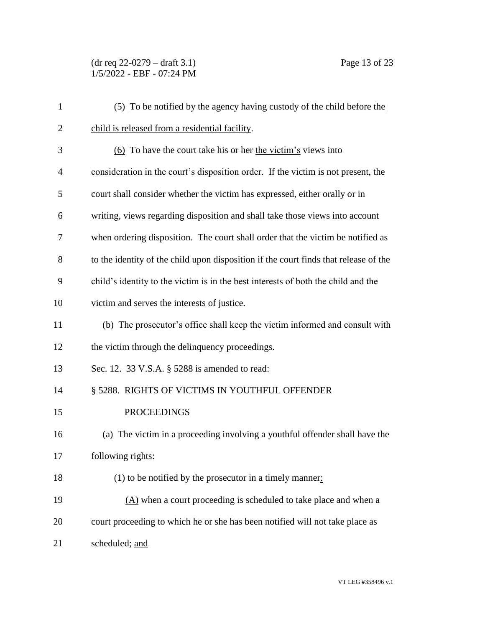(dr req 22-0279 – draft 3.1) Page 13 of 23 1/5/2022 - EBF - 07:24 PM

| $\mathbf{1}$   | (5) To be notified by the agency having custody of the child before the              |
|----------------|--------------------------------------------------------------------------------------|
| $\overline{2}$ | child is released from a residential facility.                                       |
| 3              | $(6)$ To have the court take his or her the victim's views into                      |
| $\overline{4}$ | consideration in the court's disposition order. If the victim is not present, the    |
| 5              | court shall consider whether the victim has expressed, either orally or in           |
| 6              | writing, views regarding disposition and shall take those views into account         |
| 7              | when ordering disposition. The court shall order that the victim be notified as      |
| 8              | to the identity of the child upon disposition if the court finds that release of the |
| 9              | child's identity to the victim is in the best interests of both the child and the    |
| 10             | victim and serves the interests of justice.                                          |
| 11             | (b) The prosecutor's office shall keep the victim informed and consult with          |
| 12             | the victim through the delinquency proceedings.                                      |
| 13             | Sec. 12. 33 V.S.A. § 5288 is amended to read:                                        |
| 14             | § 5288. RIGHTS OF VICTIMS IN YOUTHFUL OFFENDER                                       |
| 15             | <b>PROCEEDINGS</b>                                                                   |
| 16             | (a) The victim in a proceeding involving a youthful offender shall have the          |
| 17             | following rights:                                                                    |
| 18             | $(1)$ to be notified by the prosecutor in a timely manner:                           |
| 19             | $(A)$ when a court proceeding is scheduled to take place and when a                  |
| 20             | court proceeding to which he or she has been notified will not take place as         |
| 21             | scheduled; and                                                                       |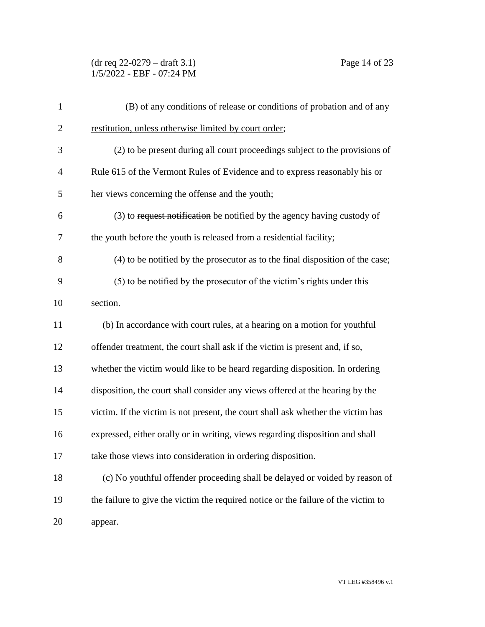(dr req 22-0279 – draft 3.1) Page 14 of 23 1/5/2022 - EBF - 07:24 PM

| $\mathbf{1}$   | (B) of any conditions of release or conditions of probation and of any             |
|----------------|------------------------------------------------------------------------------------|
| $\overline{2}$ | restitution, unless otherwise limited by court order;                              |
| 3              | (2) to be present during all court proceedings subject to the provisions of        |
| $\overline{4}$ | Rule 615 of the Vermont Rules of Evidence and to express reasonably his or         |
| 5              | her views concerning the offense and the youth;                                    |
| 6              | (3) to request notification be notified by the agency having custody of            |
| 7              | the youth before the youth is released from a residential facility;                |
| 8              | (4) to be notified by the prosecutor as to the final disposition of the case;      |
| 9              | (5) to be notified by the prosecutor of the victim's rights under this             |
| 10             | section.                                                                           |
| 11             | (b) In accordance with court rules, at a hearing on a motion for youthful          |
| 12             | offender treatment, the court shall ask if the victim is present and, if so,       |
| 13             | whether the victim would like to be heard regarding disposition. In ordering       |
| 14             | disposition, the court shall consider any views offered at the hearing by the      |
| 15             | victim. If the victim is not present, the court shall ask whether the victim has   |
| 16             | expressed, either orally or in writing, views regarding disposition and shall      |
| 17             | take those views into consideration in ordering disposition.                       |
| 18             | (c) No youthful offender proceeding shall be delayed or voided by reason of        |
| 19             | the failure to give the victim the required notice or the failure of the victim to |
| 20             | appear.                                                                            |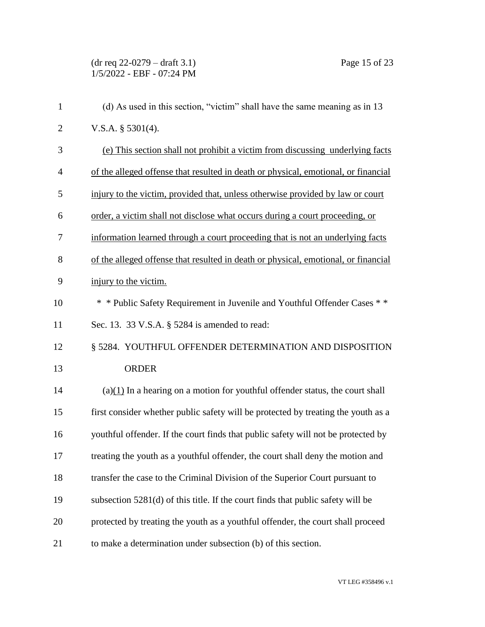| $\mathbf{1}$   | (d) As used in this section, "victim" shall have the same meaning as in 13         |
|----------------|------------------------------------------------------------------------------------|
| $\overline{2}$ | V.S.A. $§$ 5301(4).                                                                |
| 3              | (e) This section shall not prohibit a victim from discussing underlying facts      |
| $\overline{4}$ | of the alleged offense that resulted in death or physical, emotional, or financial |
| 5              | injury to the victim, provided that, unless otherwise provided by law or court     |
| 6              | order, a victim shall not disclose what occurs during a court proceeding, or       |
| $\tau$         | information learned through a court proceeding that is not an underlying facts     |
| 8              | of the alleged offense that resulted in death or physical, emotional, or financial |
| 9              | injury to the victim.                                                              |
| 10             | * * Public Safety Requirement in Juvenile and Youthful Offender Cases * *          |
| 11             | Sec. 13. 33 V.S.A. § 5284 is amended to read:                                      |
| 12             | § 5284. YOUTHFUL OFFENDER DETERMINATION AND DISPOSITION                            |
| 13             | <b>ORDER</b>                                                                       |
| 14             | $(a)(1)$ In a hearing on a motion for youthful offender status, the court shall    |
| 15             | first consider whether public safety will be protected by treating the youth as a  |
| 16             | youthful offender. If the court finds that public safety will not be protected by  |
| 17             | treating the youth as a youthful offender, the court shall deny the motion and     |
| 18             | transfer the case to the Criminal Division of the Superior Court pursuant to       |
| 19             | subsection 5281(d) of this title. If the court finds that public safety will be    |
| 20             | protected by treating the youth as a youthful offender, the court shall proceed    |
| 21             | to make a determination under subsection (b) of this section.                      |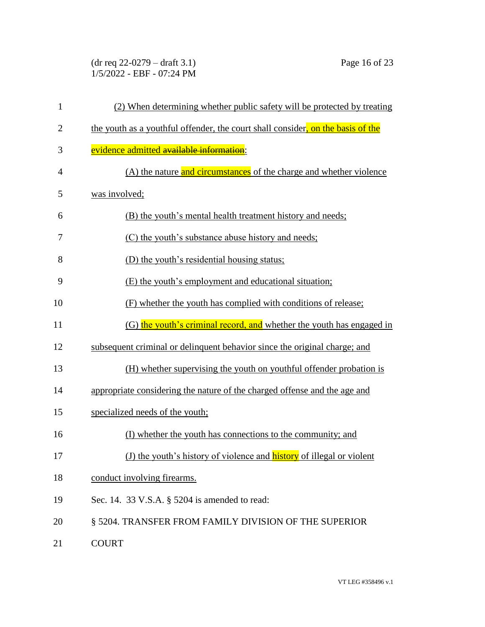(dr req 22-0279 – draft 3.1) Page 16 of 23 1/5/2022 - EBF - 07:24 PM

| $\mathbf{1}$   | (2) When determining whether public safety will be protected by treating        |
|----------------|---------------------------------------------------------------------------------|
| $\overline{c}$ | the youth as a youthful offender, the court shall consider, on the basis of the |
| 3              | evidence admitted available information:                                        |
| 4              | (A) the nature and circumstances of the charge and whether violence             |
| 5              | was involved;                                                                   |
| 6              | (B) the youth's mental health treatment history and needs;                      |
| 7              | (C) the youth's substance abuse history and needs;                              |
| 8              | (D) the youth's residential housing status;                                     |
| 9              | (E) the youth's employment and educational situation;                           |
| 10             | (F) whether the youth has complied with conditions of release;                  |
| 11             | (G) the youth's criminal record, and whether the youth has engaged in           |
| 12             | subsequent criminal or delinquent behavior since the original charge; and       |
| 13             | (H) whether supervising the youth on youthful offender probation is             |
| 14             | appropriate considering the nature of the charged offense and the age and       |
| 15             | specialized needs of the youth;                                                 |
| 16             | (I) whether the youth has connections to the community; and                     |
| 17             | (J) the youth's history of violence and <b>history</b> of illegal or violent    |
| 18             | conduct involving firearms.                                                     |
| 19             | Sec. 14. 33 V.S.A. § 5204 is amended to read:                                   |
| 20             | § 5204. TRANSFER FROM FAMILY DIVISION OF THE SUPERIOR                           |
| 21             | <b>COURT</b>                                                                    |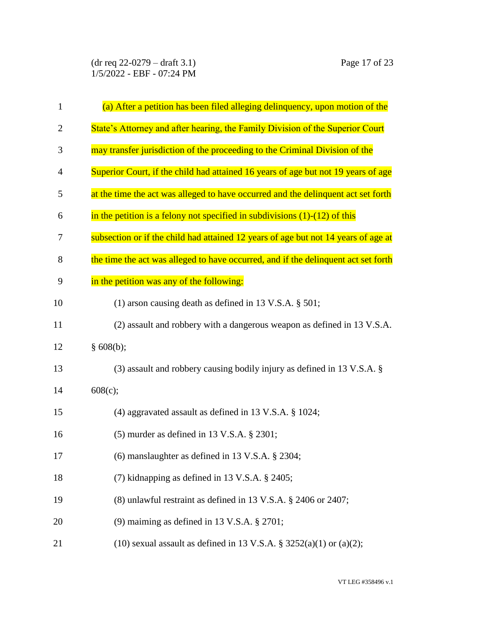| $\mathbf{1}$   | (a) After a petition has been filed alleging delinquency, upon motion of the       |
|----------------|------------------------------------------------------------------------------------|
| $\overline{2}$ | State's Attorney and after hearing, the Family Division of the Superior Court      |
| 3              | may transfer jurisdiction of the proceeding to the Criminal Division of the        |
| $\overline{4}$ | Superior Court, if the child had attained 16 years of age but not 19 years of age  |
| 5              | at the time the act was alleged to have occurred and the delinquent act set forth  |
| 6              | in the petition is a felony not specified in subdivisions $(1)-(12)$ of this       |
| 7              | subsection or if the child had attained 12 years of age but not 14 years of age at |
| 8              | the time the act was alleged to have occurred, and if the delinquent act set forth |
| 9              | in the petition was any of the following:                                          |
| 10             | (1) arson causing death as defined in 13 V.S.A. $\S$ 501;                          |
| 11             | (2) assault and robbery with a dangerous weapon as defined in 13 V.S.A.            |
| 12             | § 608(b);                                                                          |
| 13             | $(3)$ assault and robbery causing bodily injury as defined in 13 V.S.A. §          |
| 14             | 608(c);                                                                            |
| 15             | (4) aggravated assault as defined in 13 V.S.A. § 1024;                             |
| 16             | $(5)$ murder as defined in 13 V.S.A. § 2301;                                       |
| 17             | $(6)$ manslaughter as defined in 13 V.S.A. § 2304;                                 |
| 18             | $(7)$ kidnapping as defined in 13 V.S.A. § 2405;                                   |
| 19             | (8) unlawful restraint as defined in 13 V.S.A. § 2406 or 2407;                     |
| 20             | $(9)$ maiming as defined in 13 V.S.A. § 2701;                                      |
| 21             | (10) sexual assault as defined in 13 V.S.A. § $3252(a)(1)$ or $(a)(2)$ ;           |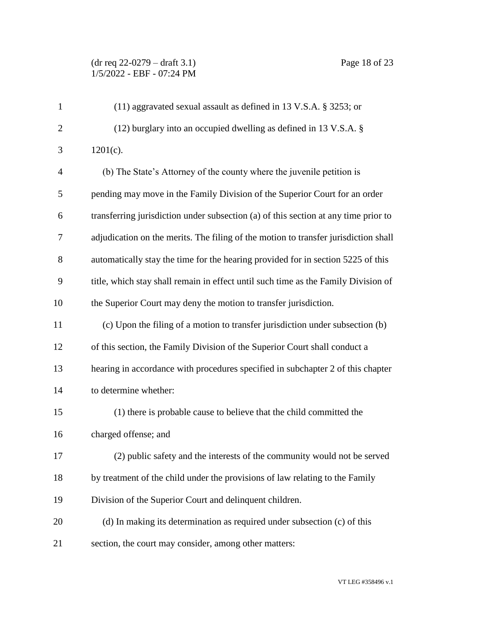# (dr req 22-0279 – draft 3.1) Page 18 of 23 1/5/2022 - EBF - 07:24 PM

| $\mathbf{1}$   | $(11)$ aggravated sexual assault as defined in 13 V.S.A. § 3253; or                 |
|----------------|-------------------------------------------------------------------------------------|
| $\overline{2}$ | $(12)$ burglary into an occupied dwelling as defined in 13 V.S.A. §                 |
| 3              | $1201(c)$ .                                                                         |
| 4              | (b) The State's Attorney of the county where the juvenile petition is               |
| 5              | pending may move in the Family Division of the Superior Court for an order          |
| 6              | transferring jurisdiction under subsection (a) of this section at any time prior to |
| 7              | adjudication on the merits. The filing of the motion to transfer jurisdiction shall |
| 8              | automatically stay the time for the hearing provided for in section 5225 of this    |
| 9              | title, which stay shall remain in effect until such time as the Family Division of  |
| 10             | the Superior Court may deny the motion to transfer jurisdiction.                    |
| 11             | (c) Upon the filing of a motion to transfer jurisdiction under subsection (b)       |
| 12             | of this section, the Family Division of the Superior Court shall conduct a          |
| 13             | hearing in accordance with procedures specified in subchapter 2 of this chapter     |
| 14             | to determine whether:                                                               |
| 15             | (1) there is probable cause to believe that the child committed the                 |
| 16             | charged offense; and                                                                |
| 17             | (2) public safety and the interests of the community would not be served            |
| 18             | by treatment of the child under the provisions of law relating to the Family        |
| 19             | Division of the Superior Court and delinquent children.                             |
| 20             | (d) In making its determination as required under subsection (c) of this            |
| 21             | section, the court may consider, among other matters:                               |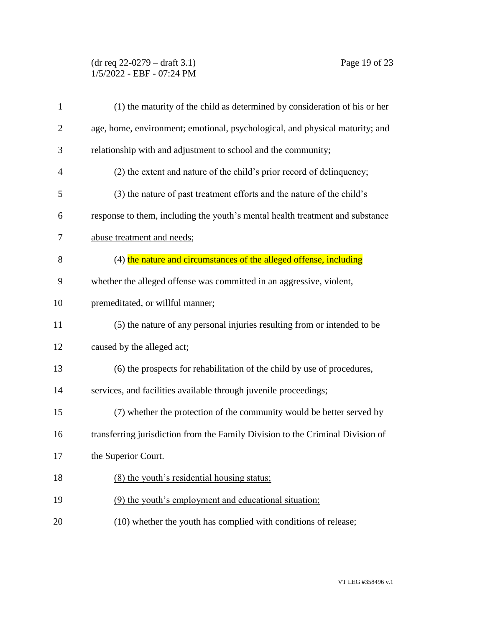### (dr req 22-0279 – draft 3.1) Page 19 of 23 1/5/2022 - EBF - 07:24 PM

| $\mathbf{1}$   | (1) the maturity of the child as determined by consideration of his or her     |
|----------------|--------------------------------------------------------------------------------|
| 2              | age, home, environment; emotional, psychological, and physical maturity; and   |
| 3              | relationship with and adjustment to school and the community;                  |
| $\overline{4}$ | (2) the extent and nature of the child's prior record of delinquency;          |
| 5              | (3) the nature of past treatment efforts and the nature of the child's         |
| 6              | response to them, including the youth's mental health treatment and substance  |
| 7              | abuse treatment and needs;                                                     |
| 8              | (4) the nature and circumstances of the alleged offense, including             |
| 9              | whether the alleged offense was committed in an aggressive, violent,           |
| 10             | premeditated, or willful manner;                                               |
| 11             | (5) the nature of any personal injuries resulting from or intended to be       |
| 12             | caused by the alleged act;                                                     |
| 13             | (6) the prospects for rehabilitation of the child by use of procedures,        |
| 14             | services, and facilities available through juvenile proceedings;               |
| 15             | (7) whether the protection of the community would be better served by          |
| 16             | transferring jurisdiction from the Family Division to the Criminal Division of |
| 17             | the Superior Court.                                                            |
| 18             | (8) the youth's residential housing status;                                    |
| 19             | (9) the youth's employment and educational situation;                          |
| 20             | (10) whether the youth has complied with conditions of release;                |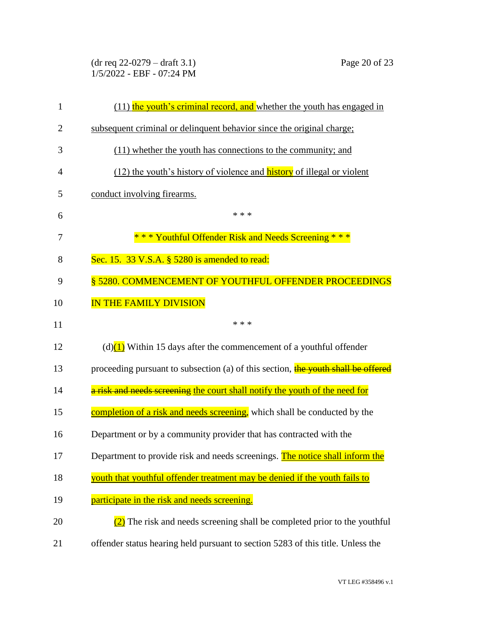(dr req 22-0279 – draft 3.1) Page 20 of 23 1/5/2022 - EBF - 07:24 PM

| $\mathbf{1}$   | (11) the youth's criminal record, and whether the youth has engaged in            |
|----------------|-----------------------------------------------------------------------------------|
| $\overline{2}$ | subsequent criminal or delinquent behavior since the original charge;             |
| 3              | (11) whether the youth has connections to the community; and                      |
| $\overline{4}$ | (12) the youth's history of violence and <b>history</b> of illegal or violent     |
| 5              | conduct involving firearms.                                                       |
| 6              | * * *                                                                             |
| 7              | *** Youthful Offender Risk and Needs Screening ***                                |
| 8              | Sec. 15. 33 V.S.A. § 5280 is amended to read:                                     |
| 9              | § 5280. COMMENCEMENT OF YOUTHFUL OFFENDER PROCEEDINGS                             |
| 10             | IN THE FAMILY DIVISION                                                            |
| 11             | * * *                                                                             |
| 12             | (d) $(1)$ Within 15 days after the commencement of a youthful offender            |
| 13             | proceeding pursuant to subsection (a) of this section, the youth shall be offered |
| 14             | a risk and needs screening the court shall notify the youth of the need for       |
| 15             | completion of a risk and needs screening, which shall be conducted by the         |
| 16             | Department or by a community provider that has contracted with the                |
| 17             | Department to provide risk and needs screenings. The notice shall inform the      |
| 18             | youth that youthful offender treatment may be denied if the youth fails to        |
| 19             | participate in the risk and needs screening.                                      |
| 20             | $(2)$ The risk and needs screening shall be completed prior to the youthful       |
| 21             | offender status hearing held pursuant to section 5283 of this title. Unless the   |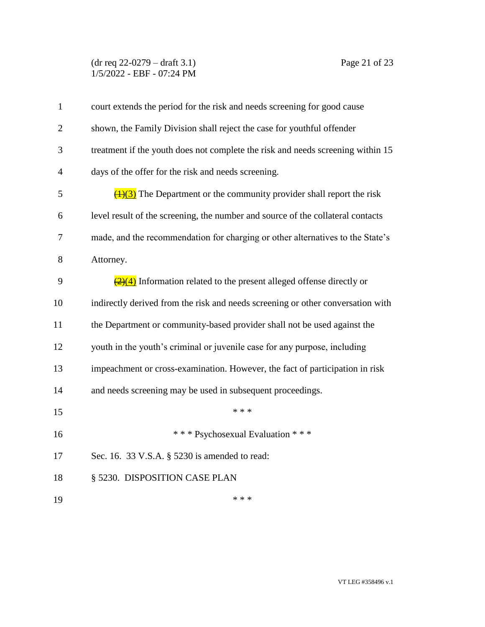(dr req 22-0279 – draft 3.1) Page 21 of 23 1/5/2022 - EBF - 07:24 PM

| $\mathbf{1}$   | court extends the period for the risk and needs screening for good cause           |
|----------------|------------------------------------------------------------------------------------|
| $\overline{2}$ | shown, the Family Division shall reject the case for youthful offender             |
| 3              | treatment if the youth does not complete the risk and needs screening within 15    |
| $\overline{4}$ | days of the offer for the risk and needs screening.                                |
| 5              | $\frac{(+)}{(+)}$ The Department or the community provider shall report the risk   |
| 6              | level result of the screening, the number and source of the collateral contacts    |
| 7              | made, and the recommendation for charging or other alternatives to the State's     |
| 8              | Attorney.                                                                          |
| 9              | $\frac{2(4)}{2(4)}$ Information related to the present alleged offense directly or |
| 10             | indirectly derived from the risk and needs screening or other conversation with    |
| 11             | the Department or community-based provider shall not be used against the           |
| 12             | youth in the youth's criminal or juvenile case for any purpose, including          |
| 13             | impeachment or cross-examination. However, the fact of participation in risk       |
| 14             | and needs screening may be used in subsequent proceedings.                         |
| 15             | * * *                                                                              |
| 16             | *** Psychosexual Evaluation ***                                                    |
| 17             | Sec. 16. 33 V.S.A. § 5230 is amended to read:                                      |
| 18             | § 5230. DISPOSITION CASE PLAN                                                      |
| 19             | * * *                                                                              |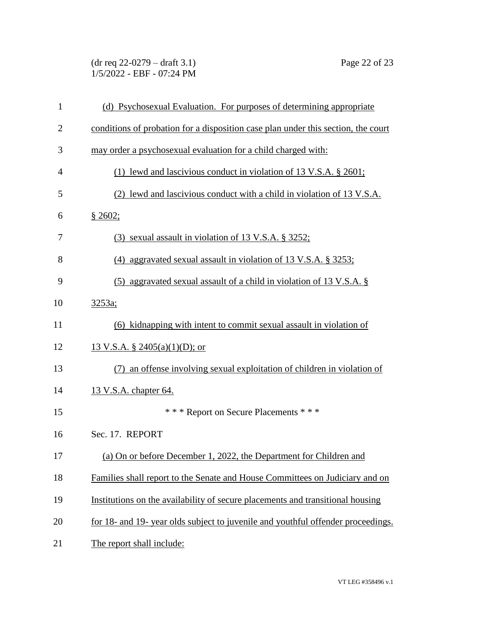| $(dr \text{ req } 22-0279 - draft 3.1)$ |  |
|-----------------------------------------|--|
| 1/5/2022 - EBF - 07:24 PM               |  |

| $\mathbf{1}$   | (d) Psychosexual Evaluation. For purposes of determining appropriate              |
|----------------|-----------------------------------------------------------------------------------|
| $\overline{2}$ | conditions of probation for a disposition case plan under this section, the court |
| 3              | may order a psychosexual evaluation for a child charged with:                     |
| $\overline{4}$ | (1) lewd and lascivious conduct in violation of 13 V.S.A. $\S 2601$ ;             |
| 5              | (2) lewd and lascivious conduct with a child in violation of 13 V.S.A.            |
| 6              | \$2602;                                                                           |
| 7              | (3) sexual assault in violation of 13 V.S.A. § 3252;                              |
| 8              | (4) aggravated sexual assault in violation of 13 V.S.A. $\S$ 3253;                |
| 9              | (5) aggravated sexual assault of a child in violation of 13 V.S.A. $\S$           |
| 10             | 3253a;                                                                            |
| 11             | (6) kidnapping with intent to commit sexual assault in violation of               |
| 12             | 13 V.S.A. § 2405(a)(1)(D); or                                                     |
| 13             | an offense involving sexual exploitation of children in violation of<br>(7)       |
| 14             | 13 V.S.A. chapter 64.                                                             |
| 15             | * * * Report on Secure Placements * * *                                           |
| 16             | Sec. 17. REPORT                                                                   |
| 17             | (a) On or before December 1, 2022, the Department for Children and                |
| 18             | Families shall report to the Senate and House Committees on Judiciary and on      |
| 19             | Institutions on the availability of secure placements and transitional housing    |
| 20             | for 18- and 19- year olds subject to juvenile and youthful offender proceedings.  |
| 21             | The report shall include:                                                         |